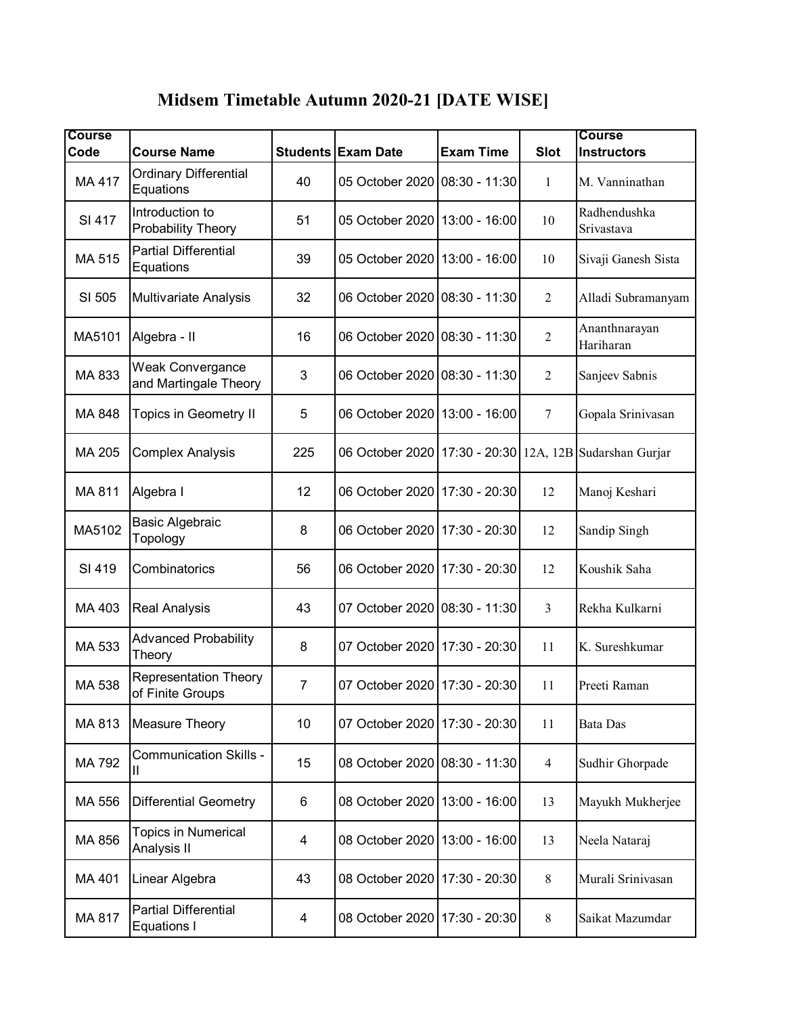| Midsem Timetable Autumn 2020-21 [DATE WISE] |  |  |
|---------------------------------------------|--|--|
|                                             |  |  |

| <b>Course</b><br>Code | <b>Course Name</b>                               |                | <b>Students Exam Date</b>                                     | <b>Exam Time</b> | <b>Slot</b>    | <b>Course</b><br><b>Instructors</b> |
|-----------------------|--------------------------------------------------|----------------|---------------------------------------------------------------|------------------|----------------|-------------------------------------|
| MA 417                | <b>Ordinary Differential</b><br>Equations        | 40             | 05 October 2020 08:30 - 11:30                                 |                  | $\mathbf{1}$   | M. Vanninathan                      |
| SI 417                | Introduction to<br>Probability Theory            | 51             | 05 October 2020                                               | 13:00 - 16:00    | 10             | Radhendushka<br>Srivastava          |
| MA 515                | <b>Partial Differential</b><br>Equations         | 39             | 05 October 2020   13:00 - 16:00                               |                  | 10             | Sivaji Ganesh Sista                 |
| SI 505                | <b>Multivariate Analysis</b>                     | 32             | 06 October 2020 08:30 - 11:30                                 |                  | $\overline{2}$ | Alladi Subramanyam                  |
| MA5101                | Algebra - II                                     | 16             | 06 October 2020 08:30 - 11:30                                 |                  | 2              | Ananthnarayan<br>Hariharan          |
| MA 833                | Weak Convergance<br>and Martingale Theory        | 3              | 06 October 2020 08:30 - 11:30                                 |                  | $\overline{2}$ | Sanjeev Sabnis                      |
| MA 848                | <b>Topics in Geometry II</b>                     | 5              | 06 October 2020   13:00 - 16:00                               |                  | $\tau$         | Gopala Srinivasan                   |
| MA 205                | <b>Complex Analysis</b>                          | 225            | 06 October 2020   17:30 - 20:30   12A, 12B   Sudarshan Gurjar |                  |                |                                     |
| MA 811                | Algebra I                                        | 12             | 06 October 2020 17:30 - 20:30                                 |                  | 12             | Manoj Keshari                       |
| MA5102                | Basic Algebraic<br>Topology                      | 8              | 06 October 2020   17:30 - 20:30                               |                  | 12             | Sandip Singh                        |
| SI 419                | Combinatorics                                    | 56             | 06 October 2020                                               | 17:30 - 20:30    | 12             | Koushik Saha                        |
| MA 403                | <b>Real Analysis</b>                             | 43             | 07 October 2020 08:30 - 11:30                                 |                  | $\overline{3}$ | Rekha Kulkarni                      |
| MA 533                | <b>Advanced Probability</b><br>Theory            | 8              | 07 October 2020 17:30 - 20:30                                 |                  | 11             | K. Sureshkumar                      |
| MA 538                | <b>Representation Theory</b><br>of Finite Groups | $\overline{7}$ | 07 October 2020 17:30 - 20:30                                 |                  | 11             | Preeti Raman                        |
| MA 813                | <b>Measure Theory</b>                            | 10             | 07 October 2020                                               | 17:30 - 20:30    | 11             | Bata Das                            |
| MA 792                | <b>Communication Skills -</b><br>Ш               | 15             | 08 October 2020 08:30 - 11:30                                 |                  | 4              | Sudhir Ghorpade                     |
| MA 556                | <b>Differential Geometry</b>                     | 6              | 08 October 2020   13:00 - 16:00                               |                  | 13             | Mayukh Mukherjee                    |
| MA 856                | Topics in Numerical<br>Analysis II               | 4              | 08 October 2020                                               | 13:00 - 16:00    | 13             | Neela Nataraj                       |
| MA 401                | Linear Algebra                                   | 43             | 08 October 2020   17:30 - 20:30                               |                  | 8              | Murali Srinivasan                   |
| MA 817                | <b>Partial Differential</b><br>Equations I       | 4              | 08 October 2020 17:30 - 20:30                                 |                  | $\,8\,$        | Saikat Mazumdar                     |